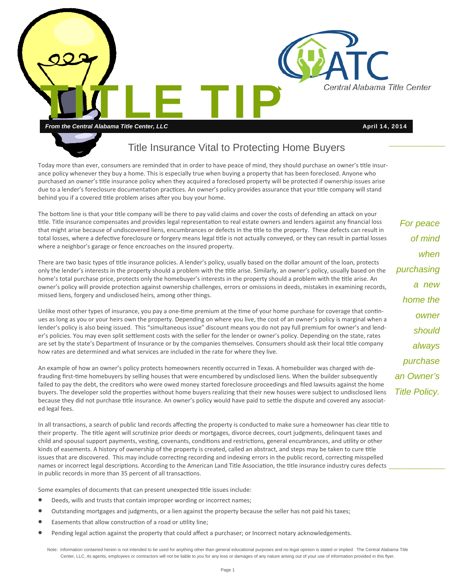

## Title Insurance Vital to Protecting Home Buyers

Today more than ever, consumers are reminded that in order to have peace of mind, they should purchase an owner's title insurance policy whenever they buy a home. This is especially true when buying a property that has been foreclosed. Anyone who purchased an owner's title insurance policy when they acquired a foreclosed property will be protected if ownership issues arise due to a lender's foreclosure documentation practices. An owner's policy provides assurance that your title company will stand behind you if a covered title problem arises after you buy your home.

The bottom line is that your title company will be there to pay valid claims and cover the costs of defending an attack on your title. Title insurance compensates and provides legal representation to real estate owners and lenders against any financial loss that might arise because of undiscovered liens, encumbrances or defects in the title to the property. These defects can result in total losses, where a defective foreclosure or forgery means legal title is not actually conveyed, or they can result in partial losses where a neighbor's garage or fence encroaches on the insured property.

There are two basic types of title insurance policies. A lender's policy, usually based on the dollar amount of the loan, protects only the lender's interests in the property should a problem with the title arise. Similarly, an owner's policy, usually based on the home's total purchase price, protects only the homebuyer's interests in the property should a problem with the title arise. An owner's policy will provide protection against ownership challenges, errors or omissions in deeds, mistakes in examining records, missed liens, forgery and undisclosed heirs, among other things.

Unlike most other types of insurance, you pay a one-time premium at the time of your home purchase for coverage that continues as long as you or your heirs own the property. Depending on where you live, the cost of an owner's policy is marginal when a lender's policy is also being issued. This "simultaneous issue" discount means you do not pay full premium for owner's and lender's policies. You may even split settlement costs with the seller for the lender or owner's policy. Depending on the state, rates are set by the state's Department of Insurance or by the companies themselves. Consumers should ask their local title company how rates are determined and what services are included in the rate for where they live.

An example of how an owner's policy protects homeowners recently occurred in Texas. A homebuilder was charged with defrauding first-time homebuyers by selling houses that were encumbered by undisclosed liens. When the builder subsequently failed to pay the debt, the creditors who were owed money started foreclosure proceedings and filed lawsuits against the home buyers. The developer sold the properties without home buyers realizing that their new houses were subject to undisclosed liens because they did not purchase title insurance. An owner's policy would have paid to settle the dispute and covered any associated legal fees.

In all transactions, a search of public land records affecting the property is conducted to make sure a homeowner has clear title to their property. The title agent will scrutinize prior deeds or mortgages, divorce decrees, court judgments, delinquent taxes and child and spousal support payments, vesting, covenants, conditions and restrictions, general encumbrances, and utility or other kinds of easements. A history of ownership of the property is created, called an abstract, and steps may be taken to cure title issues that are discovered. This may include correcting recording and indexing errors in the public record, correcting misspelled names or incorrect legal descriptions. According to the American Land Title Association, the title insurance industry cures defects in public records in more than 35 percent of all transactions.

Some examples of documents that can present unexpected title issues include:

- Deeds, wills and trusts that contain improper wording or incorrect names;
- Outstanding mortgages and judgments, or a lien against the property because the seller has not paid his taxes;
- Easements that allow construction of a road or utility line;
- Pending legal action against the property that could affect a purchaser; or Incorrect notary acknowledgements.

*For peace of mind when purchasing a new home the owner should always purchase an Owner's Title Policy.* 

Note: Information contained herein is not intended to be used for anything other than general educational purposes and no legal opinion is stated or implied The Central Alabama Title Center, LLC, its agents, employees or contractors will not be liable to you for any loss or damages of any nature arising out of your use of information provided in this flyer.